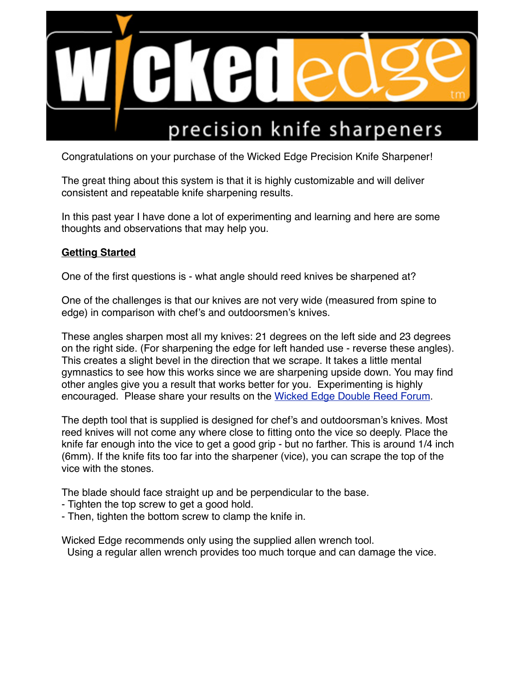

Congratulations on your purchase of the Wicked Edge Precision Knife Sharpener!

The great thing about this system is that it is highly customizable and will deliver consistent and repeatable knife sharpening results.

In this past year I have done a lot of experimenting and learning and here are some thoughts and observations that may help you.

## **Getting Started**

One of the first questions is - what angle should reed knives be sharpened at?

One of the challenges is that our knives are not very wide (measured from spine to edge) in comparison with chef's and outdoorsmen's knives.

These angles sharpen most all my knives: 21 degrees on the left side and 23 degrees on the right side. (For sharpening the edge for left handed use - reverse these angles). This creates a slight bevel in the direction that we scrape. It takes a little mental gymnastics to see how this works since we are sharpening upside down. You may find other angles give you a result that works better for you. Experimenting is highly encouraged. Please share your results on the [Wicked Edge Double Reed Forum.](http://www.wickededgeusa.com/index.php?option=com_kunena&func=showcat&catid=27&Itemid=63)

The depth tool that is supplied is designed for chef's and outdoorsman's knives. Most reed knives will not come any where close to fitting onto the vice so deeply. Place the knife far enough into the vice to get a good grip - but no farther. This is around 1/4 inch (6mm). If the knife fits too far into the sharpener (vice), you can scrape the top of the vice with the stones.

The blade should face straight up and be perpendicular to the base.

- Tighten the top screw to get a good hold.
- Then, tighten the bottom screw to clamp the knife in.

Wicked Edge recommends only using the supplied allen wrench tool.

Using a regular allen wrench provides too much torque and can damage the vice.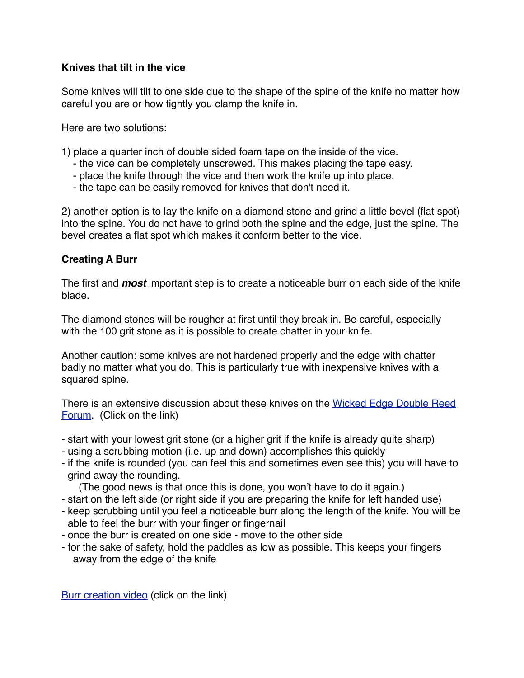### **Knives that tilt in the vice**

Some knives will tilt to one side due to the shape of the spine of the knife no matter how careful you are or how tightly you clamp the knife in.

Here are two solutions:

- 1) place a quarter inch of double sided foam tape on the inside of the vice.
	- the vice can be completely unscrewed. This makes placing the tape easy.
	- place the knife through the vice and then work the knife up into place.
	- the tape can be easily removed for knives that don't need it.

2) another option is to lay the knife on a diamond stone and grind a little bevel (flat spot) into the spine. You do not have to grind both the spine and the edge, just the spine. The bevel creates a flat spot which makes it conform better to the vice.

### **Creating A Burr**

The first and *most* important step is to create a noticeable burr on each side of the knife blade.

The diamond stones will be rougher at first until they break in. Be careful, especially with the 100 grit stone as it is possible to create chatter in your knife.

Another caution: some knives are not hardened properly and the edge with chatter badly no matter what you do. This is particularly true with inexpensive knives with a squared spine.

[There is an extensive discussion about these knives on the Wicked Edge Double Reed](http://www.wickededgeusa.com/index.php?option=com_kunena&func=showcat&catid=27&Itemid=63)  Forum. (Click on the link)

- start with your lowest grit stone (or a higher grit if the knife is already quite sharp)
- using a scrubbing motion (i.e. up and down) accomplishes this quickly
- if the knife is rounded (you can feel this and sometimes even see this) you will have to grind away the rounding.
	- (The good news is that once this is done, you won't have to do it again.)
- start on the left side (or right side if you are preparing the knife for left handed use)
- keep scrubbing until you feel a noticeable burr along the length of the knife. You will be able to feel the burr with your finger or fingernail
- once the burr is created on one side move to the other side
- for the sake of safety, hold the paddles as low as possible. This keeps your fingers away from the edge of the knife

[Burr creation video](http://www.youtube.com/watch?v=90mN6R6MQ-A&ytsession=QZST8aGfhru0saayE3417aFy6Y8MolIlvufLS_ONa7Vygto7oHeRNT4PF7ps7QumXPLfcY0863jkt8F9eWO8Nz6NF6F13n4wvaB-BtbbthzNA8bJAaD-fff2S6uYjBLyzhXr7Cq4HzAB1jaC2Q5-mWglZ3pwhRTKxOQDax4sKSJYvY8l3brBdnh0ZWfvRBH3DEnVzNWxXU5YSrnwJuDj185NugWX_zCeRvmGRT9Kv4c3V6xItaZT2N8OwZH-NTRfEHlyOMaAkLJM0DnntiYaKsPNrO5YDQblld_25ogXOHk87l__nZF0EKsXRAb9BceOoJ3sEjGI_dq-RAexThL4mMhE1YG78kNj) (click on the link)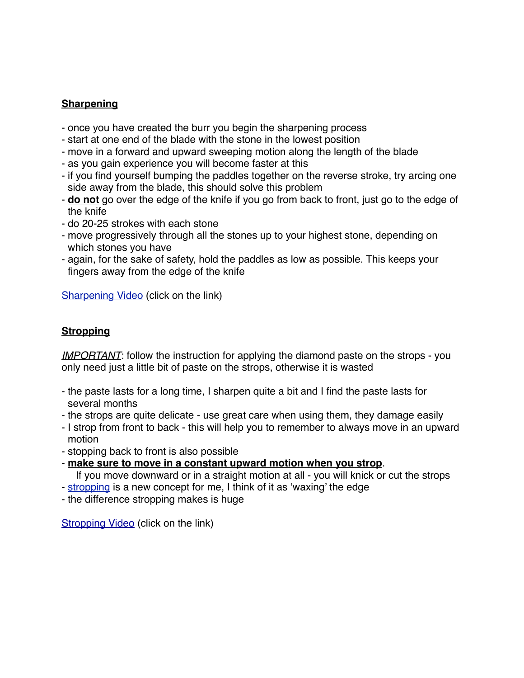# **Sharpening**

- once you have created the burr you begin the sharpening process
- start at one end of the blade with the stone in the lowest position
- move in a forward and upward sweeping motion along the length of the blade
- as you gain experience you will become faster at this
- if you find yourself bumping the paddles together on the reverse stroke, try arcing one side away from the blade, this should solve this problem
- **do not** go over the edge of the knife if you go from back to front, just go to the edge of the knife
- do 20-25 strokes with each stone
- move progressively through all the stones up to your highest stone, depending on which stones you have
- again, for the sake of safety, hold the paddles as low as possible. This keeps your fingers away from the edge of the knife

[Sharpening Video](http://www.youtube.com/watch?v=1feEpLepDx8) (click on the link)

# **Stropping**

*IMPORTANT*: follow the instruction for applying the diamond paste on the strops - you only need just a little bit of paste on the strops, otherwise it is wasted

- the paste lasts for a long time, I sharpen quite a bit and I find the paste lasts for several months
- the strops are quite delicate use great care when using them, they damage easily
- I strop from front to back this will help you to remember to always move in an upward motion
- stopping back to front is also possible
- **make sure to move in a constant upward motion when you strop**.
- If you move downward or in a straight motion at all you will knick or cut the strops
- [stropping](http://www.youtube.com/watch?v=N77zCCy57eo) is a new concept for me, I think of it as 'waxing' the edge
- the difference stropping makes is huge

[Stropping Video](https://www.youtube.com/watch?v=N77zCCy57eo) (click on the link)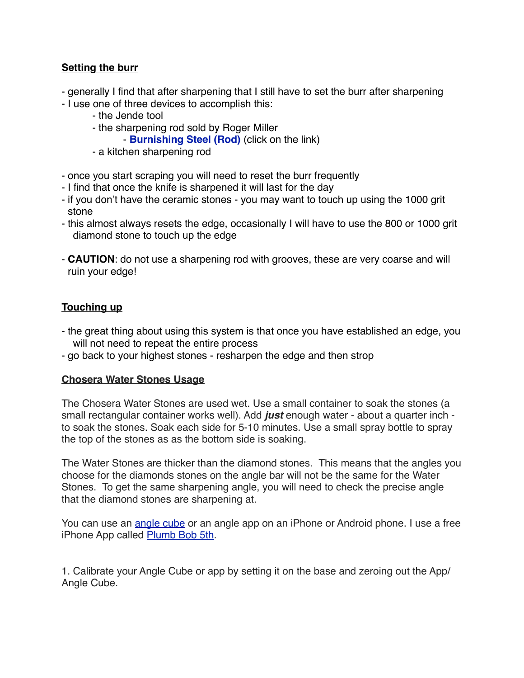## **Setting the burr**

- generally I find that after sharpening that I still have to set the burr after sharpening
- I use one of three devices to accomplish this:
	- the Jende tool
	- the sharpening rod sold by Roger Miller
		- **[Burnishing Steel \(Rod\)](http://www.rogermillerrom4oboe.com/RogerMillerROMTOOLS.html)** (click on the link)
	- a kitchen sharpening rod
- once you start scraping you will need to reset the burr frequently
- I find that once the knife is sharpened it will last for the day
- if you don't have the ceramic stones you may want to touch up using the 1000 grit stone
- this almost always resets the edge, occasionally I will have to use the 800 or 1000 grit diamond stone to touch up the edge
- **CAUTION**: do not use a sharpening rod with grooves, these are very coarse and will ruin your edge!

# **Touching up**

- the great thing about using this system is that once you have established an edge, you will not need to repeat the entire process
- go back to your highest stones resharpen the edge and then strop

#### **Chosera Water Stones Usage**

The Chosera Water Stones are used wet. Use a small container to soak the stones (a small rectangular container works well). Add *just* enough water - about a quarter inch to soak the stones. Soak each side for 5-10 minutes. Use a small spray bottle to spray the top of the stones as as the bottom side is soaking.

The Water Stones are thicker than the diamond stones. This means that the angles you choose for the diamonds stones on the angle bar will not be the same for the Water Stones. To get the same sharpening angle, you will need to check the precise angle that the diamond stones are sharpening at.

You can use an [angle cube](http://www.wickededgeusa.com/index.php?page=shop.product_details&flypage=flypage.pbv.v1.tpl&product_id=466&category_id=73&option=com_virtuemart&Itemid=53) or an angle app on an iPhone or Android phone. I use a free iPhone App called [Plumb Bob 5th](https://itunes.apple.com/us/app/plumb-bob-5th/id357469474?mt=8).

1. Calibrate your Angle Cube or app by setting it on the base and zeroing out the App/ Angle Cube.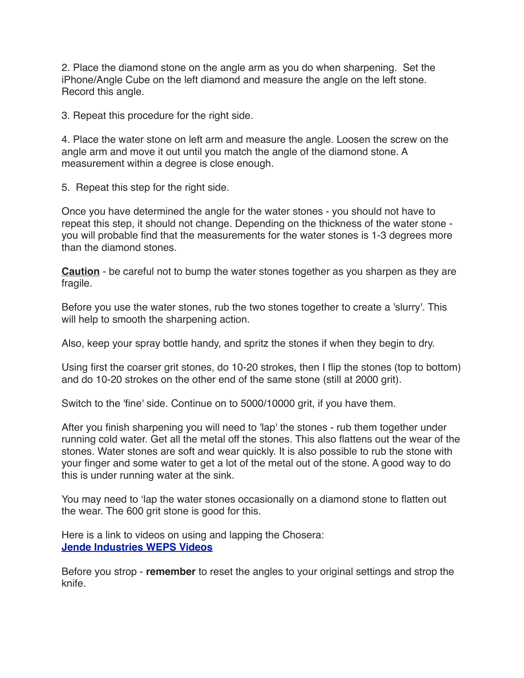2. Place the diamond stone on the angle arm as you do when sharpening. Set the iPhone/Angle Cube on the left diamond and measure the angle on the left stone. Record this angle.

3. Repeat this procedure for the right side.

4. Place the water stone on left arm and measure the angle. Loosen the screw on the angle arm and move it out until you match the angle of the diamond stone. A measurement within a degree is close enough.

5. Repeat this step for the right side.

Once you have determined the angle for the water stones - you should not have to repeat this step, it should not change. Depending on the thickness of the water stone you will probable find that the measurements for the water stones is 1-3 degrees more than the diamond stones.

**Caution** - be careful not to bump the water stones together as you sharpen as they are fragile.

Before you use the water stones, rub the two stones together to create a 'slurry'. This will help to smooth the sharpening action.

Also, keep your spray bottle handy, and spritz the stones if when they begin to dry.

Using first the coarser grit stones, do 10-20 strokes, then I flip the stones (top to bottom) and do 10-20 strokes on the other end of the same stone (still at 2000 grit).

Switch to the 'fine' side. Continue on to 5000/10000 grit, if you have them.

After you finish sharpening you will need to 'lap' the stones - rub them together under running cold water. Get all the metal off the stones. This also flattens out the wear of the stones. Water stones are soft and wear quickly. It is also possible to rub the stone with your finger and some water to get a lot of the metal out of the stone. A good way to do this is under running water at the sink.

You may need to 'lap the water stones occasionally on a diamond stone to flatten out the wear. The 600 grit stone is good for this.

Here is a link to videos on using and lapping the Chosera: **[Jende Industries WEPS Videos](http://www.wickededgeusa.com/index.php?option=com_kunena&func=view&catid=4&id=2814&Itemid=63)**

Before you strop - **remember** to reset the angles to your original settings and strop the knife.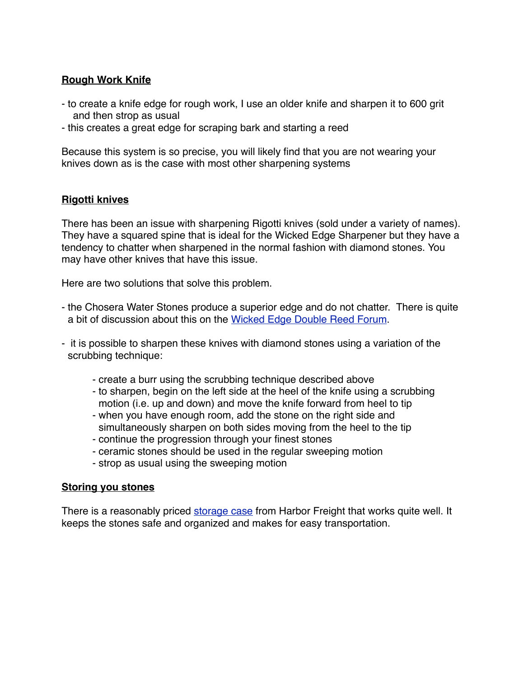### **Rough Work Knife**

- to create a knife edge for rough work, I use an older knife and sharpen it to 600 grit and then strop as usual
- this creates a great edge for scraping bark and starting a reed

Because this system is so precise, you will likely find that you are not wearing your knives down as is the case with most other sharpening systems

### **Rigotti knives**

There has been an issue with sharpening Rigotti knives (sold under a variety of names). They have a squared spine that is ideal for the Wicked Edge Sharpener but they have a tendency to chatter when sharpened in the normal fashion with diamond stones. You may have other knives that have this issue.

Here are two solutions that solve this problem.

- the Chosera Water Stones produce a superior edge and do not chatter. There is quite a bit of discussion about this on the [Wicked Edge Double Reed Forum](http://www.wickededgeusa.com/index.php?option=com_kunena&func=showcat&catid=27&Itemid=63).
- it is possible to sharpen these knives with diamond stones using a variation of the scrubbing technique:
	- create a burr using the scrubbing technique described above
	- to sharpen, begin on the left side at the heel of the knife using a scrubbing motion (i.e. up and down) and move the knife forward from heel to tip
	- when you have enough room, add the stone on the right side and simultaneously sharpen on both sides moving from the heel to the tip
	- continue the progression through your finest stones
	- ceramic stones should be used in the regular sweeping motion
	- strop as usual using the sweeping motion

#### **Storing you stones**

There is a reasonably priced [storage case](http://www.harborfreight.com/15-bin-portable-parts-storage-case-93929.html) from Harbor Freight that works quite well. It keeps the stones safe and organized and makes for easy transportation.